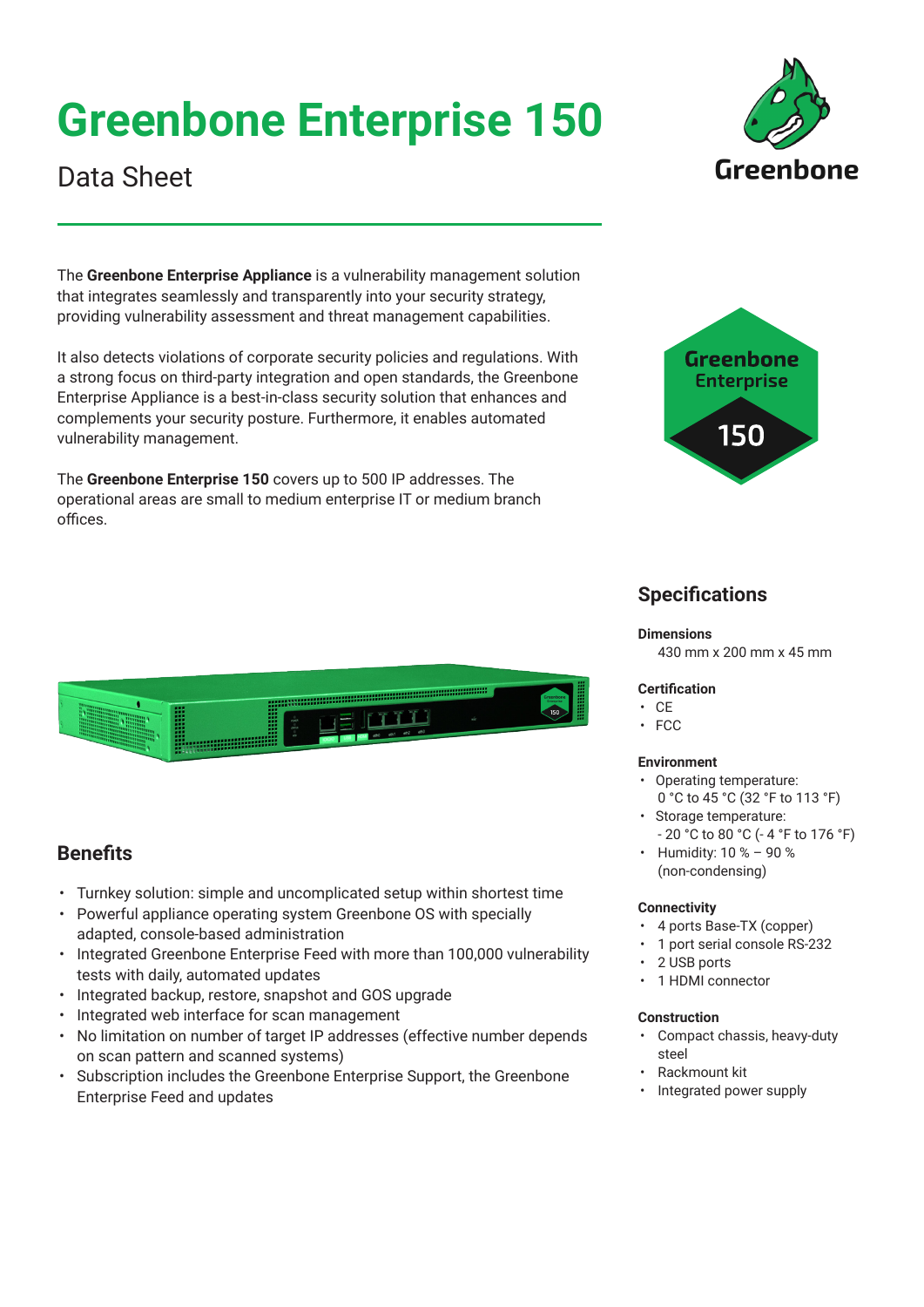# **Greenbone Enterprise 150**



## Data Sheet

The **Greenbone Enterprise Appliance** is a vulnerability management solution that integrates seamlessly and transparently into your security strategy, providing vulnerability assessment and threat management capabilities.

It also detects violations of corporate security policies and regulations. With a strong focus on third-party integration and open standards, the Greenbone Enterprise Appliance is a best-in-class security solution that enhances and complements your security posture. Furthermore, it enables automated vulnerability management.

The **Greenbone Enterprise 150** covers up to 500 IP addresses. The operational areas are small to medium enterprise IT or medium branch offices.



## **Specifications**

#### **Dimensions**

430 mm x 200 mm x 45 mm

## **Certification**

- CE
- FCC

## **Environment**

- Operating temperature:
- 0 °C to 45 °C (32 °F to 113 °F) • Storage temperature:
- 20 °C to 80 °C (- 4 °F to 176 °F)
- Humidity: 10 % 90 % (non-condensing)

## **Connectivity**

- 4 ports Base-TX (copper)
- 1 port serial console RS-232
- 2 USB ports
- 1 HDMI connector

## **Construction**

- Compact chassis, heavy-duty steel
- Rackmount kit
- Integrated power supply



## **Benefits**

- Turnkey solution: simple and uncomplicated setup within shortest time
- Powerful appliance operating system Greenbone OS with specially adapted, console-based administration
- Integrated Greenbone Enterprise Feed with more than 100,000 vulnerability tests with daily, automated updates
- Integrated backup, restore, snapshot and GOS upgrade
- Integrated web interface for scan management
- No limitation on number of target IP addresses (effective number depends on scan pattern and scanned systems)
- Subscription includes the Greenbone Enterprise Support, the Greenbone Enterprise Feed and updates